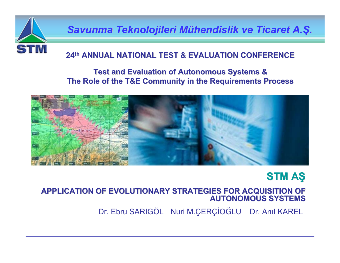

*Savunma Teknolojileri M Savunma Teknolojileri Mühendislik ve Ticaret A. hendislik ve Ticaret A. Ş.*

#### **24th ANNUAL NATIONAL NATIONAL TEST & EVALUATION TEST & EVALUATION CONFERENCE CONFERENCE**

#### **Test and Evaluation of Autonomous Systems & Test and Evaluation of Autonomous Systems & The Role of the T&E Community in the Requirements Process**



# **STM A Ş**

#### **APPLICATION OF EVOLUTIONARY STRATEGIES FOR ACQUISITION OF AUTONOMOUS SYSTEMS AUTONOMOUS SYSTEMS**

Dr. Ebru SARIGÖL Nuri M.ÇERÇİ<sup>O</sup> ĞLU Dr. Anıl KAREL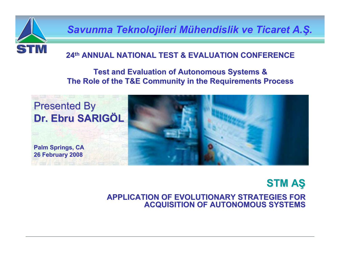

*Savunma Teknolojileri M Savunma Teknolojileri Mühendislik ve Ticaret A. hendislik ve Ticaret A.Ş.*

#### **24th ANNUAL NATIONAL NATIONAL TEST & EVALUATION TEST & EVALUATION CONFERENCE CONFERENCE**

#### **Test and Evaluation of Autonomous Systems & Test and Evaluation of Autonomous Systems & The Role of the T&E Community in the Requirements Process**



## **STM AŞ**

**APPLICATION OF EVOLUTIONARY STRATEGIES FOR APPLICATION OF EVOLUTIONARY STRATEGIES FOR ACQUISITION OF AUTONOMOUS SYSTEMS ACQUISITION OF AUTONOMOUS SYSTEMS**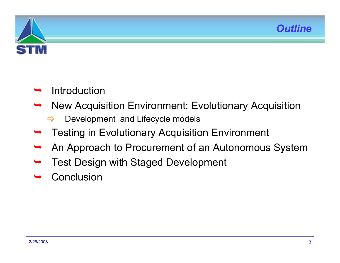



#### ¬Introduction

- ¬ New Acquisition Environment: Evolutionary Acquisition
	- $\Rightarrow$ Development and Lifecycle models
- ¬Testing in Evolutionary Acquisition Environment
- ¬An Approach to Procurement of an Autonomous System
- ¬Test Design with Staged Development
- ¬**Conclusion**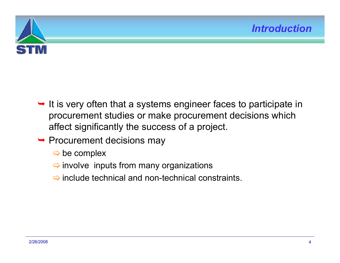

- $\rightarrow$  It is very often that a systems engineer faces to participate in procurement studies or make procurement decisions which affect significantly the success of a project.
- $\rightarrow$  Procurement decisions may
	- $\Rightarrow$  be complex
	- $\Rightarrow$  involve inputs from many organizations
	- $\Rightarrow$  include technical and non-technical constraints.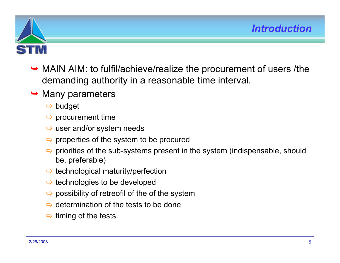

- → MAIN AIM: to fulfil/achieve/realize the procurement of users /the demanding authority in a reasonable time interval.
- $\rightarrow$  Many parameters
	- $\Rightarrow$  budget
	- $\Rightarrow$  procurement time
	- $\Rightarrow$  user and/or system needs
	- $\Rightarrow$  properties of the system to be procured
	- $\Rightarrow$  priorities of the sub-systems present in the system (indispensable, should be, preferable)
	- > technological maturity/perfection
	- $\Rightarrow$  technologies to be developed
	- $\Rightarrow$  possibility of retreofil of the of the system
	- $\Rightarrow$  determination of the tests to be done
	- $\Rightarrow$  timing of the tests.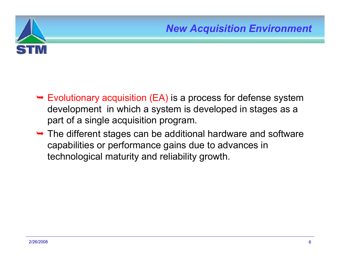

- $\rightarrow$  Evolutionary acquisition (EA) is a process for defense system development in which a system is developed in stages as a part of a single acquisition program.
- $\rightarrow$  The different stages can be additional hardware and software capabilities or performance gains due to advances in technological maturity and reliability growth.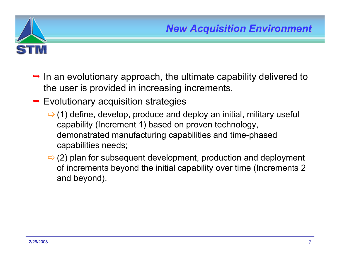

- $\rightarrow$  In an evolutionary approach, the ultimate capability delivered to the user is provided in increasing increments.
- $\rightarrow$  Evolutionary acquisition strategies
	- $\Rightarrow$  (1) define, develop, produce and deploy an initial, military useful capability (Increment 1) based on proven technology, demonstrated manufacturing capabilities and time-phased capabilities needs;
	- $\Rightarrow$  (2) plan for subsequent development, production and deployment of increments beyond the initial capability over time (Increments 2 and beyond).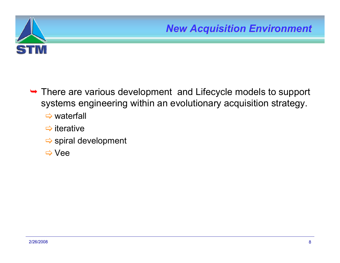

- ¬ There are various development and Lifecycle models to support systems engineering within an evolutionary acquisition strategy.
	- $\Rightarrow$  waterfall
	- $\Rightarrow$  iterative
	- $\Rightarrow$  spiral development
	- > Vee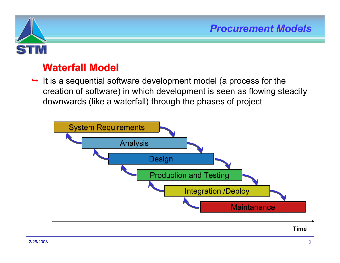

# **Waterfall Model Waterfall Model**

 $\rightarrow$  It is a sequential software development model (a process for the creation of software) in which development is seen as flowing steadily downwards (like a waterfall) through the phases of project

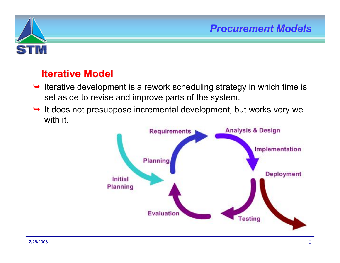

# **Iterative Model Iterative Model**

- $\rightarrow$  Iterative development is a rework scheduling strategy in which time is set aside to revise and improve parts of the system.
- $\rightarrow$  It does not presuppose incremental development, but works very well with it.

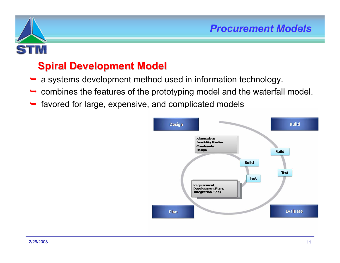

# **Spiral Development Model Spiral Development Model**

- <sup>a</sup> systems development method used in information technology.
- $\rightarrow$  combines the features of the prototyping model and the waterfall model.
- favored for large, expensive, and complicated models

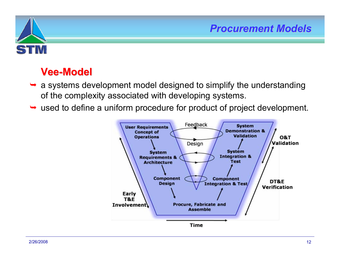

## **Vee-Model**

- a systems development model designed to simplify the understanding of the complexity associated with developing systems.
- used to define a uniform procedure for product of project development.

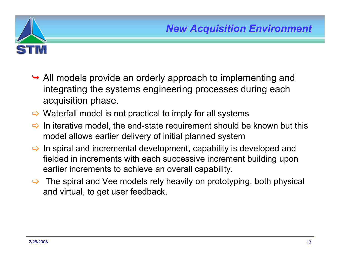

- $\rightarrow$  All models provide an orderly approach to implementing and integrating the systems engineering processes during each acquisition phase.
- $\Rightarrow$  Waterfall model is not practical to imply for all systems
- $\Rightarrow$  In iterative model, the end-state requirement should be known but this model allows earlier delivery of initial planned system
- $\Rightarrow$  In spiral and incremental development, capability is developed and fielded in increments with each successive increment building upon earlier increments to achieve an overall capability.
- $\Rightarrow$  The spiral and Vee models rely heavily on prototyping, both physical and virtual, to get user feedback.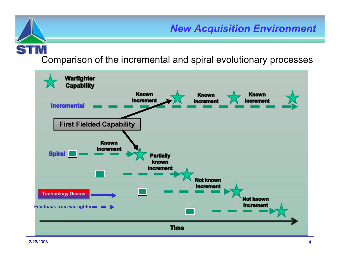Comparison of the incremental and spiral evolutionary processes

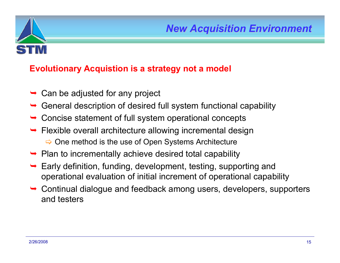

#### **Evolutionary Acquistion is a strategy not a model**

- ¬Can be adjusted for any project
- ¬General description of desired full system functional capability
- ¬Concise statement of full system operational concepts
- ¬ Flexible overall architecture allowing incremental design  $\Rightarrow$  One method is the use of Open Systems Architecture
- ¬Plan to incrementally achieve desired total capability
- ¬ Early definition, funding, development, testing, supporting and operational evaluation of initial increment of operational capability
- ¬ Continual dialogue and feedback among users, developers, supporters and testers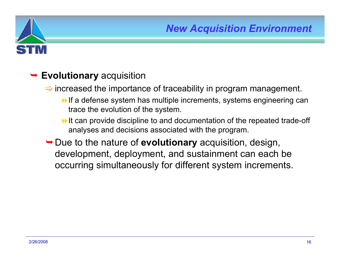

## ¬ **Evolutionary** acquisition

 $\Rightarrow$  increased the importance of traceability in program management.

- $\rightarrow$  If a defense system has multiple increments, systems engineering can trace the evolution of the system.
- It can provide discipline to and documentation of the repeated trade-off analyses and decisions associated with the program.
- **→ Due to the nature of evolutionary** acquisition, design, development, deployment, and sustainment can each be occurring simultaneously for different system increments.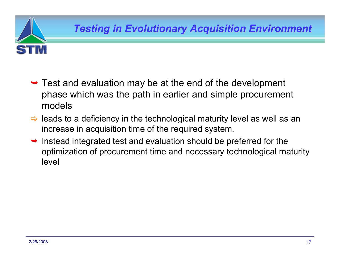

- $\rightarrow$  Test and evaluation may be at the end of the development phase which was the path in earlier and simple procurement models
- $\Rightarrow$  leads to a deficiency in the technological maturity level as well as an increase in acquisition time of the required system.
- ¬ Instead integrated test and evaluation should be preferred for the optimization of procurement time and necessary technological maturity level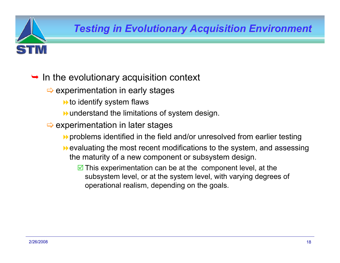## $\rightarrow$  In the evolutionary acquisition context

- $\Rightarrow$  experimentation in early stages
	- $\blacktriangleright$  to identify system flaws
	- understand the limitations of system design.
- $\Rightarrow$  experimentation in later stages
	- problems identified in the field and/or unresolved from earlier testing
	- **Example 20 Fevaluating the most recent modifications to the system, and assessing** the maturity of a new component or subsystem design.
		- $\blacksquare$  This experimentation can be at the component level, at the subsystem level, or at the system level, with varying degrees of operational realism, depending on the goals.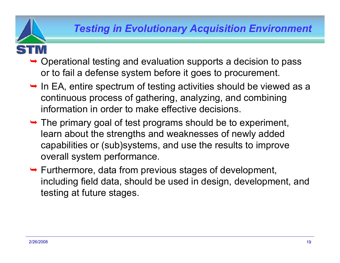- - ¬ Operational testing and evaluation supports a decision to pass or to fail a defense system before it goes to procurement.
	- $\rightarrow$  In EA, entire spectrum of testing activities should be viewed as a continuous process of gathering, analyzing, and combining information in order to make effective decisions.
	- $\rightarrow$  The primary goal of test programs should be to experiment, learn about the strengths and weaknesses of newly added capabilities or (sub)systems, and use the results to improve overall system performance.
	- $\rightarrow$  Furthermore, data from previous stages of development, including field data, should be used in design, development, and testing at future stages.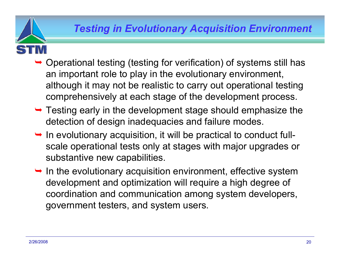- - $\rightarrow$  Operational testing (testing for verification) of systems still has an important role to play in the evolutionary environment, although it may not be realistic to carry out operational testing comprehensively at each stage of the development process.
	- $\rightarrow$  Testing early in the development stage should emphasize the detection of design inadequacies and failure modes.
	- $\rightarrow$  In evolutionary acquisition, it will be practical to conduct fullscale operational tests only at stages with major upgrades or substantive new capabilities.
	- $\rightarrow$  In the evolutionary acquisition environment, effective system development and optimization will require a high degree of coordination and communication among system developers, government testers, and system users.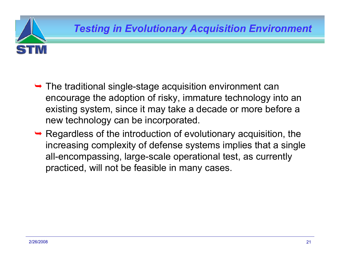- $\rightarrow$  The traditional single-stage acquisition environment can encourage the adoption of risky, immature technology into an existing system, since it may take a decade or more before a new technology can be incorporated.
- $\rightarrow$  Regardless of the introduction of evolutionary acquisition, the increasing complexity of defense systems implies that a single all-encompassing, large-scale operational test, as currently practiced, will not be feasible in many cases.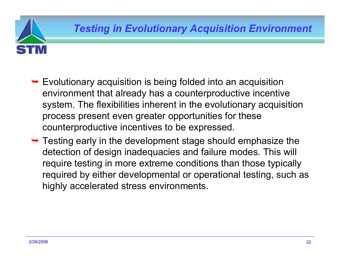- $\rightarrow$  Evolutionary acquisition is being folded into an acquisition environment that already has a counterproductive incentive system. The flexibilities inherent in the evolutionary acquisition process present even greater opportunities for these counterproductive incentives to be expressed.
- $\rightarrow$  Testing early in the development stage should emphasize the detection of design inadequacies and failure modes. This will require testing in more extreme conditions than those typically required by either developmental or operational testing, such as highly accelerated stress environments.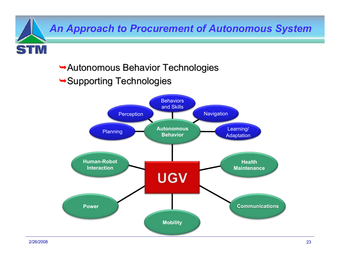*An Approach to Procurement of Autonomous System An Approach to Procurement of Autonomous System*

- $\rightarrow$  Autonomous Behavior Technologies
- $\rightarrow$  Supporting Technologies



2/26/2008

**STM**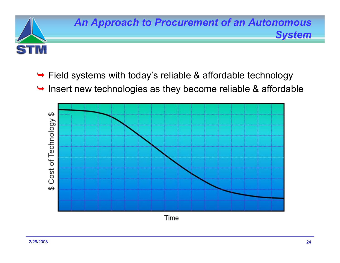

- $\rightarrow$  Field systems with today's reliable & affordable technology
- $\rightarrow$  Insert new technologies as they become reliable & affordable



Time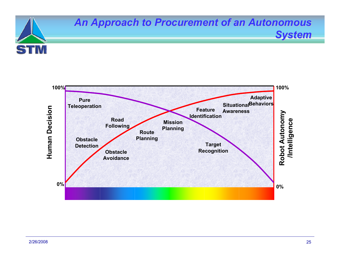

## **An Approach to Procurement of an Autonomous**



*System*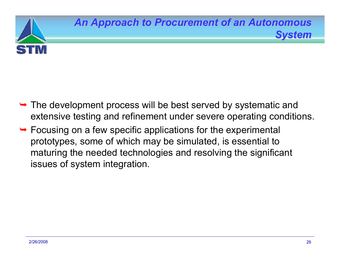

- $\rightarrow$  The development process will be best served by systematic and extensive testing and refinement under severe operating conditions.
- $\rightarrow$  Focusing on a few specific applications for the experimental prototypes, some of which may be simulated, is essential to maturing the needed technologies and resolving the significant issues of system integration.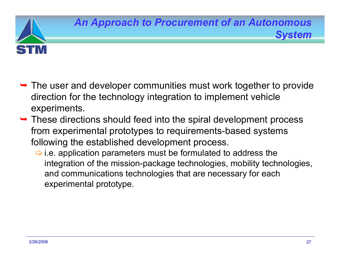

- $\rightarrow$  The user and developer communities must work together to provide direction for the technology integration to implement vehicle experiments.
- $\rightarrow$  These directions should feed into the spiral development process from experimental prototypes to requirements-based systems following the established development process.
	- $\Rightarrow$  i.e. application parameters must be formulated to address the integration of the mission-package technologies, mobility technologies, and communications technologies that are necessary for each experimental prototype.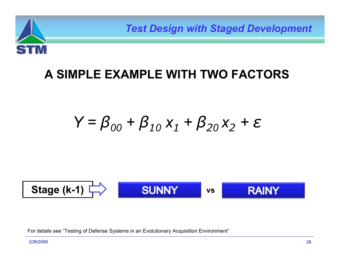

*Test Design with Staged Development Test Design with Staged Development*

# **A SIMPLE EXAMPLE WITH TWO FACTORS**

$$
Y = \beta_{00} + \beta_{10} x_1 + \beta_{20} x_2 + \varepsilon
$$

**Stage (k-1) vs**

For details see "Testing of Defense Systems in an Evolutionary Acquisition Environment"

2/26/2008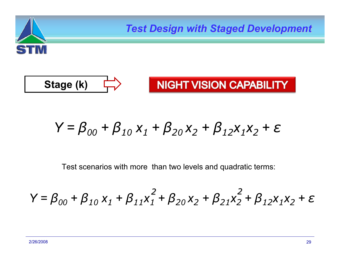

*Test Design with Staged Development Test Design with Staged Development*



**NIGHT VISION CAPABILITY** 

$$
Y = \beta_{00} + \beta_{10} x_1 + \beta_{20} x_2 + \beta_{12} x_1 x_2 + \varepsilon
$$

Test scenarios with more than two levels and quadratic terms:

$$
Y = \beta_{00} + \beta_{10} x_1 + \beta_{11} x_1^2 + \beta_{20} x_2 + \beta_{21} x_2^2 + \beta_{12} x_1 x_2 + \varepsilon
$$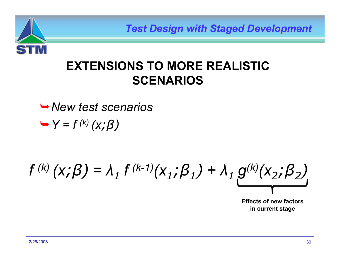

*Test Design with Staged Development Test Design with Staged Development*

# **EXTENSIONS TO MORE REALISTIC SCENARIOS**

¬*New test scenarios*¬*Y = f (k) (x; β)*

*f (k) (x; β) <sup>=</sup> λ 1*  $f^{(k-1)}(X_1; \beta_1) + \lambda_1 g^{(k)}(X_2; \beta_2)$ 

**Effects of new factors in current stage**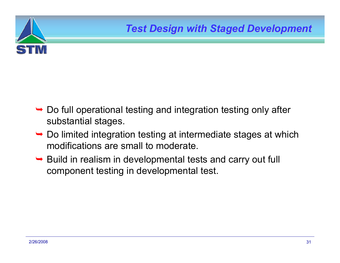

- $\rightarrow$  Do full operational testing and integration testing only after substantial stages.
- $\rightarrow$  Do limited integration testing at intermediate stages at which modifications are small to moderate.
- $\rightarrow$  Build in realism in developmental tests and carry out full component testing in developmental test.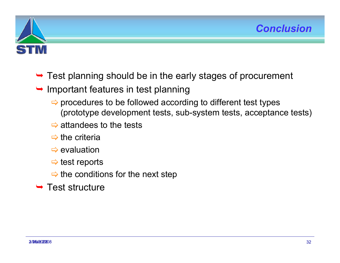



- $\rightarrow$  Test planning should be in the early stages of procurement
- $\rightarrow$  Important features in test planning
	- $\Rightarrow$  procedures to be followed according to different test types (prototype development tests, sub-system tests, acceptance tests)
	- $\Rightarrow$  attandees to the tests
	- $\Rightarrow$  the criteria
	- $\Rightarrow$  evaluation
	- $\Rightarrow$  test reports
	- $\Rightarrow$  the conditions for the next step
- $\rightarrow$  Test structure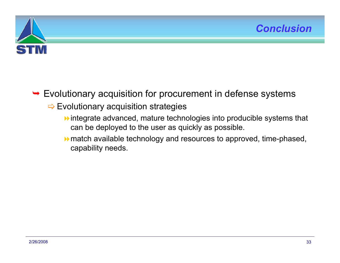



### $\rightarrow$  Evolutionary acquisition for procurement in defense systems

#### $\Rightarrow$  Evolutionary acquisition strategies

- integrate advanced, mature technologies into producible systems that can be deployed to the user as quickly as possible.
- $\rightarrow$  match available technology and resources to approved, time-phased, capability needs.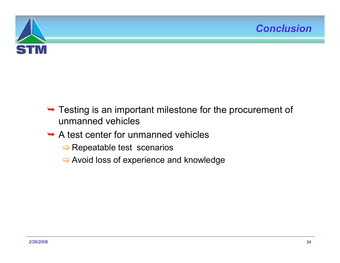



- $\rightarrow$  Testing is an important milestone for the procurement of unmanned vehicles
- $\rightarrow$  A test center for unmanned vehicles
	- $\Rightarrow$  Repeatable test scenarios
	- $\Rightarrow$  Avoid loss of experience and knowledge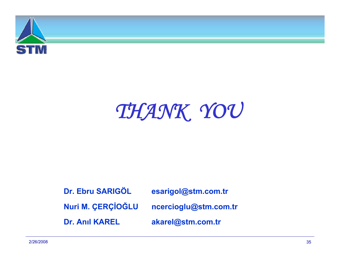

# *THANK YOU*

**Dr. Ebru SARIGÖLDr. Anıl KAREL**

**esarigol@stm.com.tr**

**Nuri M. ÇERÇİOĞLU ncercioglu@stm.com.tr**

**akarel@stm.com.tr**

2/26/2008